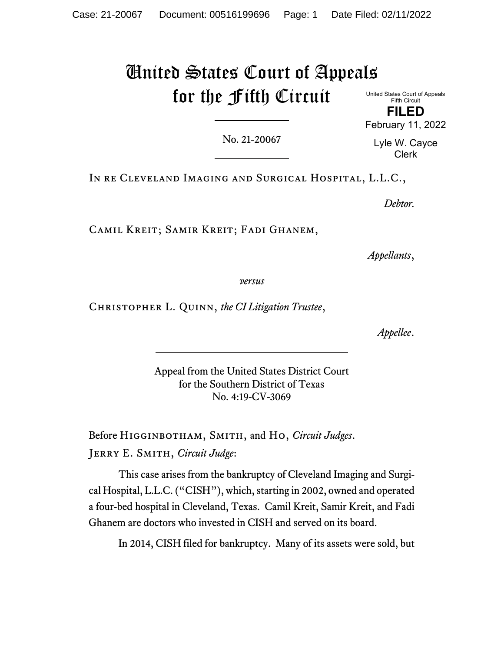# United States Court of Appeals for the Fifth Circuit

United States Court of Appeals Fifth Circuit **FILED** February 11, 2022

No. 21-20067

Lyle W. Cayce Clerk

In re Cleveland Imaging and Surgical Hospital, L.L.C.,

*Debtor.*

Camil Kreit; Samir Kreit; Fadi Ghanem,

*Appellants*,

*versus*

Christopher L. Quinn, *the CI Litigation Trustee*,

*Appellee*.

Appeal from the United States District Court for the Southern District of Texas No. 4:19-CV-3069

Before Higginbotham, Smith, and Ho, *Circuit Judges*. Jerry E. Smith, *Circuit Judge*:

This case arises from the bankruptcy of Cleveland Imaging and Surgical Hospital, L.L.C. ("CISH"), which, starting in 2002, owned and operated a four-bed hospital in Cleveland, Texas. Camil Kreit, Samir Kreit, and Fadi Ghanem are doctors who invested in CISH and served on its board.

In 2014, CISH filed for bankruptcy. Many of its assets were sold, but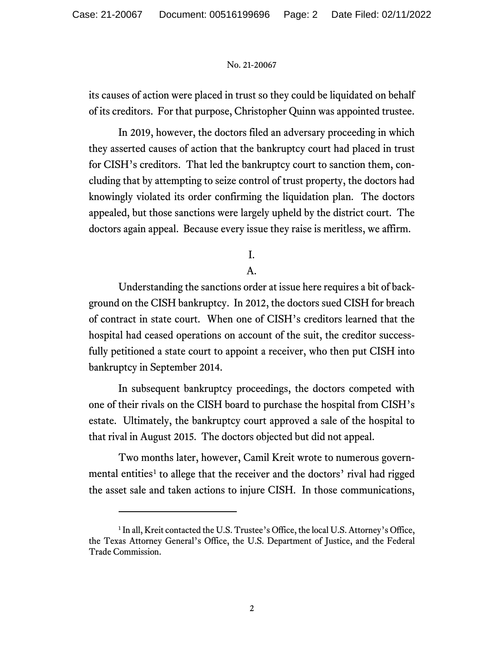its causes of action were placed in trust so they could be liquidated on behalf of its creditors. For that purpose, Christopher Quinn was appointed trustee.

In 2019, however, the doctors filed an adversary proceeding in which they asserted causes of action that the bankruptcy court had placed in trust for CISH's creditors. That led the bankruptcy court to sanction them, concluding that by attempting to seize control of trust property, the doctors had knowingly violated its order confirming the liquidation plan. The doctors appealed, but those sanctions were largely upheld by the district court. The doctors again appeal. Because every issue they raise is meritless, we affirm.

I.

A.

Understanding the sanctions order at issue here requires a bit of background on the CISH bankruptcy. In 2012, the doctors sued CISH for breach of contract in state court. When one of CISH's creditors learned that the hospital had ceased operations on account of the suit, the creditor successfully petitioned a state court to appoint a receiver, who then put CISH into bankruptcy in September 2014.

In subsequent bankruptcy proceedings, the doctors competed with one of their rivals on the CISH board to purchase the hospital from CISH's estate. Ultimately, the bankruptcy court approved a sale of the hospital to that rival in August 2015. The doctors objected but did not appeal.

Two months later, however, Camil Kreit wrote to numerous govern-mental entities<sup>[1](#page-1-0)</sup> to allege that the receiver and the doctors' rival had rigged the asset sale and taken actions to injure CISH. In those communications,

<span id="page-1-0"></span><sup>&</sup>lt;sup>1</sup> In all, Kreit contacted the U.S. Trustee's Office, the local U.S. Attorney's Office, the Texas Attorney General's Office, the U.S. Department of Justice, and the Federal Trade Commission.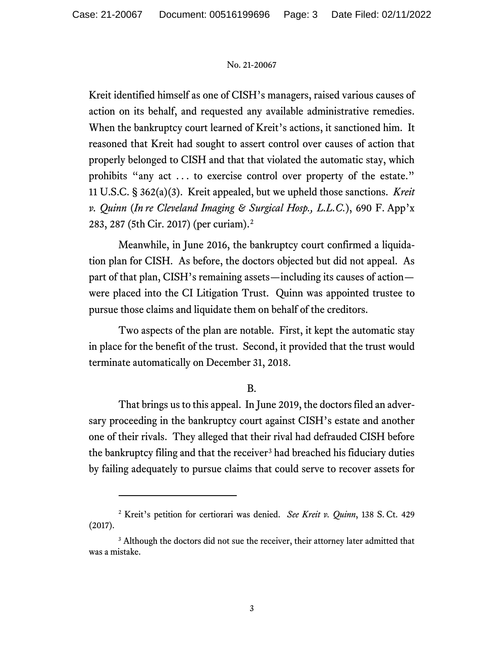Kreit identified himself as one of CISH's managers, raised various causes of action on its behalf, and requested any available administrative remedies. When the bankruptcy court learned of Kreit's actions, it sanctioned him. It reasoned that Kreit had sought to assert control over causes of action that properly belonged to CISH and that that violated the automatic stay, which prohibits "any act . . . to exercise control over property of the estate." 11 U.S.C. § 362(a)(3). Kreit appealed, but we upheld those sanctions. *Kreit v. Quinn* (*In re Cleveland Imaging & Surgical Hosp., L.L.C.*), 690 F. App'x 283, 287 (5th Cir. 2017) (per curiam).[2](#page-2-0)

Meanwhile, in June 2016, the bankruptcy court confirmed a liquidation plan for CISH. As before, the doctors objected but did not appeal. As part of that plan, CISH's remaining assets—including its causes of action were placed into the CI Litigation Trust. Quinn was appointed trustee to pursue those claims and liquidate them on behalf of the creditors.

Two aspects of the plan are notable. First, it kept the automatic stay in place for the benefit of the trust. Second, it provided that the trust would terminate automatically on December 31, 2018.

## B.

That brings us to this appeal. In June 2019, the doctors filed an adversary proceeding in the bankruptcy court against CISH's estate and another one of their rivals. They alleged that their rival had defrauded CISH before the bankruptcy filing and that the receiver<sup>[3](#page-2-1)</sup> had breached his fiduciary duties by failing adequately to pursue claims that could serve to recover assets for

<span id="page-2-0"></span><sup>2</sup> Kreit's petition for certiorari was denied. *See Kreit v. Quinn*, 138 S. Ct. 429 (2017).

<span id="page-2-1"></span><sup>&</sup>lt;sup>3</sup> Although the doctors did not sue the receiver, their attorney later admitted that was a mistake.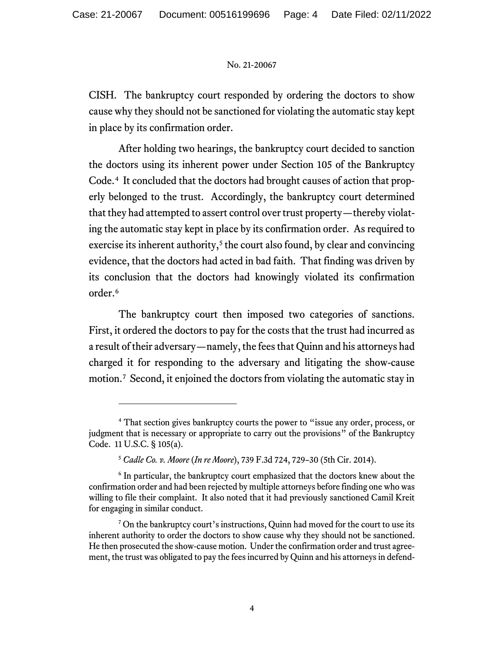CISH. The bankruptcy court responded by ordering the doctors to show cause why they should not be sanctioned for violating the automatic stay kept in place by its confirmation order.

After holding two hearings, the bankruptcy court decided to sanction the doctors using its inherent power under Section 105 of the Bankruptcy Code.[4](#page-3-0) It concluded that the doctors had brought causes of action that properly belonged to the trust. Accordingly, the bankruptcy court determined that they had attempted to assert control over trust property—thereby violating the automatic stay kept in place by its confirmation order. As required to exercise its inherent authority, $5$  the court also found, by clear and convincing evidence, that the doctors had acted in bad faith. That finding was driven by its conclusion that the doctors had knowingly violated its confirmation order. [6](#page-3-2)

The bankruptcy court then imposed two categories of sanctions. First, it ordered the doctors to pay for the costs that the trust had incurred as a result of their adversary—namely, the fees that Quinn and his attorneys had charged it for responding to the adversary and litigating the show-cause motion. [7](#page-3-3) Second, it enjoined the doctors from violating the automatic stay in

<span id="page-3-0"></span><sup>4</sup> That section gives bankruptcy courts the power to "issue any order, process, or judgment that is necessary or appropriate to carry out the provisions" of the Bankruptcy Code. 11 U.S.C. § 105(a).

<sup>5</sup> *Cadle Co. v. Moore* (*In re Moore*), 739 F.3d 724, 729–30 (5th Cir. 2014).

<span id="page-3-2"></span><span id="page-3-1"></span><sup>&</sup>lt;sup>6</sup> In particular, the bankruptcy court emphasized that the doctors knew about the confirmation order and had been rejected by multiple attorneys before finding one who was willing to file their complaint. It also noted that it had previously sanctioned Camil Kreit for engaging in similar conduct.

<span id="page-3-3"></span><sup>&</sup>lt;sup>7</sup> On the bankruptcy court's instructions, Quinn had moved for the court to use its inherent authority to order the doctors to show cause why they should not be sanctioned. He then prosecuted the show-cause motion. Under the confirmation order and trust agreement, the trust was obligated to pay the fees incurred by Quinn and his attorneys in defend-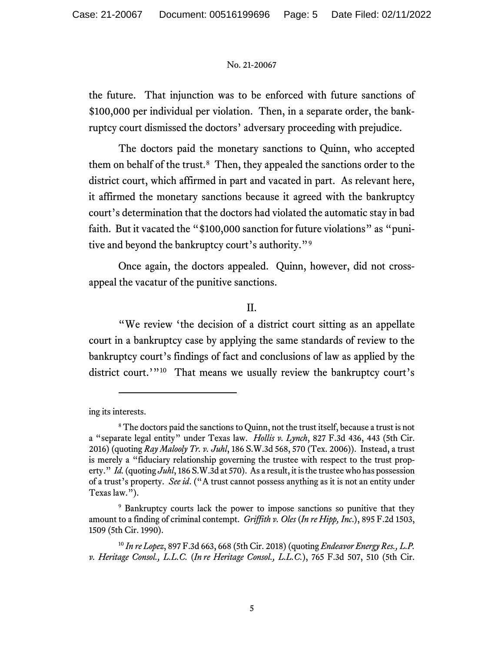the future. That injunction was to be enforced with future sanctions of \$100,000 per individual per violation. Then, in a separate order, the bankruptcy court dismissed the doctors' adversary proceeding with prejudice.

The doctors paid the monetary sanctions to Quinn, who accepted them on behalf of the trust.<sup>[8](#page-4-0)</sup> Then, they appealed the sanctions order to the district court, which affirmed in part and vacated in part. As relevant here, it affirmed the monetary sanctions because it agreed with the bankruptcy court's determination that the doctors had violated the automatic stay in bad faith. But it vacated the "\$100,000 sanction for future violations" as "punitive and beyond the bankruptcy court's authority."[9](#page-4-1)

Once again, the doctors appealed. Quinn, however, did not crossappeal the vacatur of the punitive sanctions.

## II.

"We review 'the decision of a district court sitting as an appellate court in a bankruptcy case by applying the same standards of review to the bankruptcy court's findings of fact and conclusions of law as applied by the district court.'"<sup>[10](#page-4-2)</sup> That means we usually review the bankruptcy court's

ing its interests.

<span id="page-4-0"></span><sup>&</sup>lt;sup>8</sup> The doctors paid the sanctions to Quinn, not the trust itself, because a trust is not a "separate legal entity" under Texas law. *Hollis v. Lynch*, 827 F.3d 436, 443 (5th Cir. 2016) (quoting *Ray Malooly Tr. v. Juhl*, 186 S.W.3d 568, 570 (Tex. 2006)). Instead, a trust is merely a "fiduciary relationship governing the trustee with respect to the trust property." *Id.* (quoting *Juhl*, 186 S.W.3d at 570). As a result, it is the trustee who has possession of a trust's property. *See id*. ("A trust cannot possess anything as it is not an entity under Texas law.").

<span id="page-4-1"></span><sup>&</sup>lt;sup>9</sup> Bankruptcy courts lack the power to impose sanctions so punitive that they amount to a finding of criminal contempt. *Griffith v. Oles* (*In re Hipp, Inc*.), 895 F.2d 1503, 1509 (5th Cir. 1990).

<span id="page-4-2"></span><sup>10</sup> *In re Lopez*, 897 F.3d 663, 668 (5th Cir. 2018) (quoting *Endeavor Energy Res., L.P. v. Heritage Consol., L.L.C.* (*In re Heritage Consol., L.L.C.*), 765 F.3d 507, 510 (5th Cir.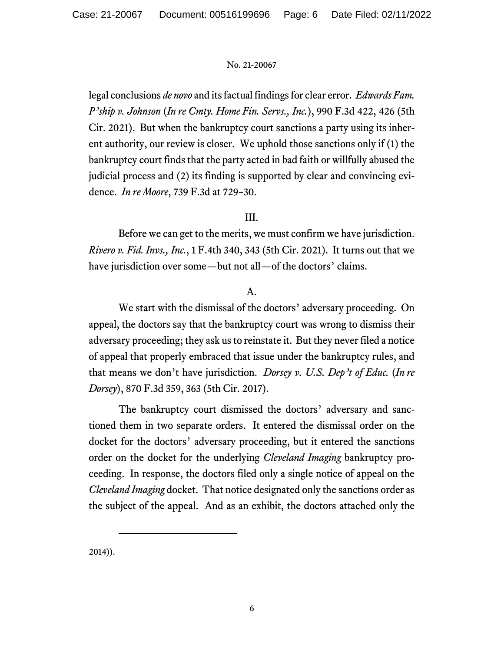legal conclusions *de novo* and its factual findings for clear error. *Edwards Fam. P'ship v. Johnson* (*In re Cmty. Home Fin. Servs., Inc.*), 990 F.3d 422, 426 (5th Cir. 2021). But when the bankruptcy court sanctions a party using its inherent authority, our review is closer. We uphold those sanctions only if (1) the bankruptcy court finds that the party acted in bad faith or willfully abused the judicial process and (2) its finding is supported by clear and convincing evidence. *In re Moore*, 739 F.3d at 729–30.

# III.

Before we can get to the merits, we must confirm we have jurisdiction. *Rivero v. Fid. Invs., Inc.*, 1 F.4th 340, 343 (5th Cir. 2021). It turns out that we have jurisdiction over some—but not all—of the doctors' claims.

# A.

We start with the dismissal of the doctors' adversary proceeding. On appeal, the doctors say that the bankruptcy court was wrong to dismiss their adversary proceeding; they ask us to reinstate it. But they never filed a notice of appeal that properly embraced that issue under the bankruptcy rules, and that means we don't have jurisdiction. *Dorsey v. U.S. Dep't of Educ.* (*In re Dorsey*), 870 F.3d 359, 363 (5th Cir. 2017).

The bankruptcy court dismissed the doctors' adversary and sanctioned them in two separate orders. It entered the dismissal order on the docket for the doctors' adversary proceeding, but it entered the sanctions order on the docket for the underlying *Cleveland Imaging* bankruptcy proceeding. In response, the doctors filed only a single notice of appeal on the *Cleveland Imaging* docket. That notice designated only the sanctions order as the subject of the appeal. And as an exhibit, the doctors attached only the

2014)).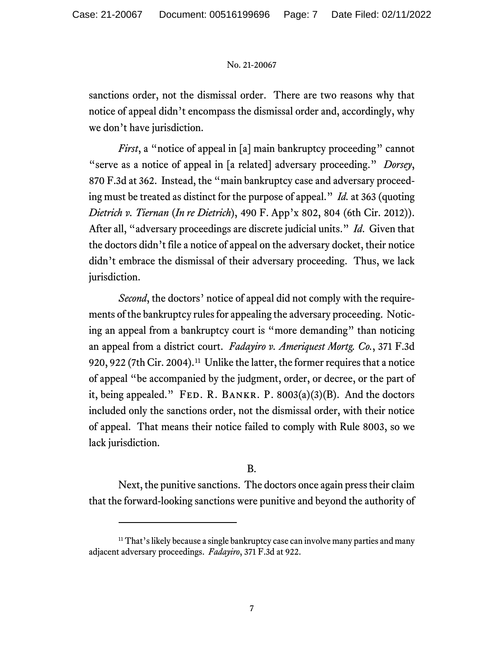sanctions order, not the dismissal order. There are two reasons why that notice of appeal didn't encompass the dismissal order and, accordingly, why we don't have jurisdiction.

*First*, a "notice of appeal in [a] main bankruptcy proceeding" cannot "serve as a notice of appeal in [a related] adversary proceeding." *Dorsey*, 870 F.3d at 362. Instead, the "main bankruptcy case and adversary proceeding must be treated as distinct for the purpose of appeal." *Id.* at 363 (quoting *Dietrich v. Tiernan* (*In re Dietrich*), 490 F. App'x 802, 804 (6th Cir. 2012)). After all, "adversary proceedings are discrete judicial units." *Id*. Given that the doctors didn't file a notice of appeal on the adversary docket, their notice didn't embrace the dismissal of their adversary proceeding. Thus, we lack jurisdiction.

*Second*, the doctors' notice of appeal did not comply with the requirements of the bankruptcy rules for appealing the adversary proceeding. Noticing an appeal from a bankruptcy court is "more demanding" than noticing an appeal from a district court. *Fadayiro v. Ameriquest Mortg. Co.*, 371 F.3d 920, 922 (7th Cir. 2004). [11](#page-6-0) Unlike the latter, the former requires that a notice of appeal "be accompanied by the judgment, order, or decree, or the part of it, being appealed." FED. R. BANKR. P.  $8003(a)(3)(B)$ . And the doctors included only the sanctions order, not the dismissal order, with their notice of appeal. That means their notice failed to comply with Rule 8003, so we lack jurisdiction.

# B.

Next, the punitive sanctions. The doctors once again press their claim that the forward-looking sanctions were punitive and beyond the authority of

<span id="page-6-0"></span><sup>&</sup>lt;sup>11</sup> That's likely because a single bankruptcy case can involve many parties and many adjacent adversary proceedings. *Fadayiro*, 371 F.3d at 922.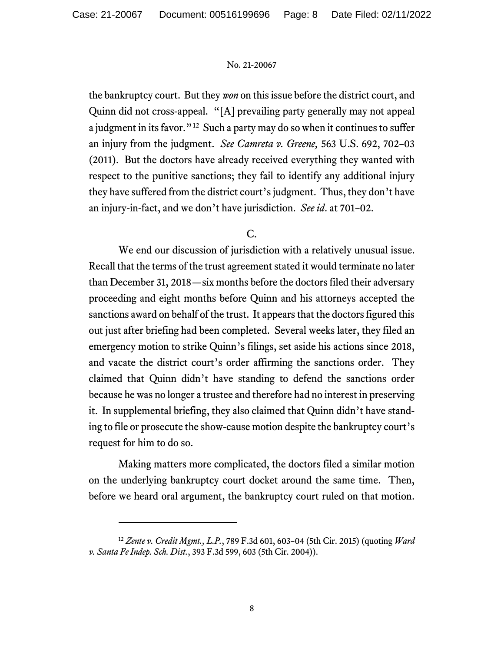the bankruptcy court. But they *won* on this issue before the district court, and Quinn did not cross-appeal. "[A] prevailing party generally may not appeal a judgment in its favor."[12](#page-7-0) Such a party may do so when it continues to suffer an injury from the judgment. *See Camreta v. Greene,* 563 U.S. 692, 702–03 (2011). But the doctors have already received everything they wanted with respect to the punitive sanctions; they fail to identify any additional injury they have suffered from the district court's judgment. Thus, they don't have an injury-in-fact, and we don't have jurisdiction. *See id*. at 701–02.

## C.

We end our discussion of jurisdiction with a relatively unusual issue. Recall that the terms of the trust agreement stated it would terminate no later than December 31, 2018—six months before the doctors filed their adversary proceeding and eight months before Quinn and his attorneys accepted the sanctions award on behalf of the trust. It appears that the doctors figured this out just after briefing had been completed. Several weeks later, they filed an emergency motion to strike Quinn's filings, set aside his actions since 2018, and vacate the district court's order affirming the sanctions order. They claimed that Quinn didn't have standing to defend the sanctions order because he was no longer a trustee and therefore had no interest in preserving it. In supplemental briefing, they also claimed that Quinn didn't have standing to file or prosecute the show-cause motion despite the bankruptcy court's request for him to do so.

Making matters more complicated, the doctors filed a similar motion on the underlying bankruptcy court docket around the same time. Then, before we heard oral argument, the bankruptcy court ruled on that motion.

<span id="page-7-0"></span><sup>12</sup> *Zente v. Credit Mgmt., L.P.*, 789 F.3d 601, 603–04 (5th Cir. 2015) (quoting *Ward v. Santa Fe Indep. Sch. Dist.*, 393 F.3d 599, 603 (5th Cir. 2004)).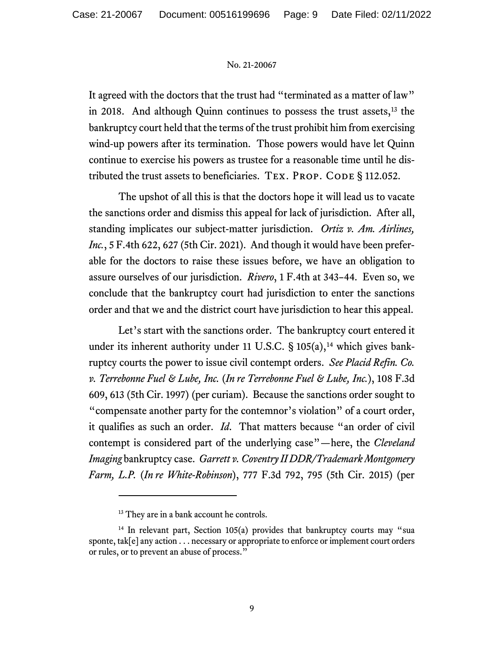It agreed with the doctors that the trust had "terminated as a matter of law" in 2018. And although Quinn continues to possess the trust assets,<sup>[13](#page-8-0)</sup> the bankruptcy court held that the terms of the trust prohibit him from exercising wind-up powers after its termination. Those powers would have let Quinn continue to exercise his powers as trustee for a reasonable time until he distributed the trust assets to beneficiaries. TEX. PROP. CODE § 112.052.

The upshot of all this is that the doctors hope it will lead us to vacate the sanctions order and dismiss this appeal for lack of jurisdiction. After all, standing implicates our subject-matter jurisdiction. *Ortiz v. Am. Airlines, Inc.*, 5 F.4th 622, 627 (5th Cir. 2021). And though it would have been preferable for the doctors to raise these issues before, we have an obligation to assure ourselves of our jurisdiction. *Rivero*, 1 F.4th at 343–44. Even so, we conclude that the bankruptcy court had jurisdiction to enter the sanctions order and that we and the district court have jurisdiction to hear this appeal.

Let's start with the sanctions order. The bankruptcy court entered it under its inherent authority under 11 U.S.C.  $\S$  105(a),<sup>[14](#page-8-1)</sup> which gives bankruptcy courts the power to issue civil contempt orders. *See Placid Refin. Co. v. Terrebonne Fuel & Lube, Inc.* (*In re Terrebonne Fuel & Lube, Inc.*), 108 F.3d 609, 613 (5th Cir. 1997) (per curiam). Because the sanctions order sought to "compensate another party for the contemnor's violation" of a court order, it qualifies as such an order. *Id*. That matters because "an order of civil contempt is considered part of the underlying case"—here, the *Cleveland Imaging* bankruptcy case. *Garrett v. Coventry II DDR/Trademark Montgomery Farm, L.P.* (*In re White-Robinson*), 777 F.3d 792, 795 (5th Cir. 2015) (per

<sup>&</sup>lt;sup>13</sup> They are in a bank account he controls.

<span id="page-8-1"></span><span id="page-8-0"></span> $14$  In relevant part, Section 105(a) provides that bankruptcy courts may "sua sponte, tak[e] any action . . . necessary or appropriate to enforce or implement court orders or rules, or to prevent an abuse of process."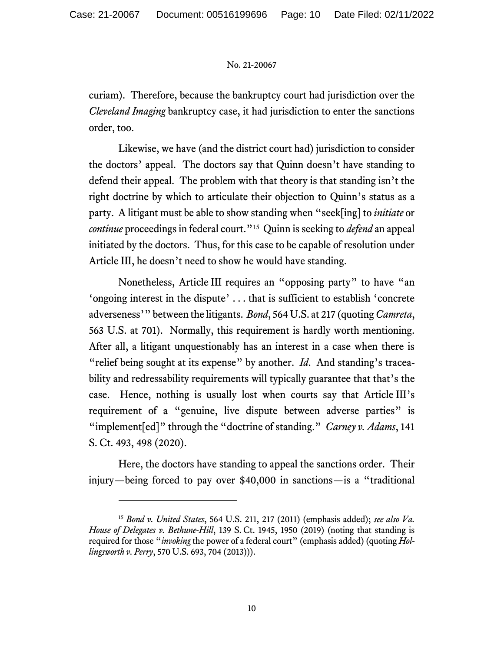curiam). Therefore, because the bankruptcy court had jurisdiction over the *Cleveland Imaging* bankruptcy case, it had jurisdiction to enter the sanctions order, too.

Likewise, we have (and the district court had) jurisdiction to consider the doctors' appeal. The doctors say that Quinn doesn't have standing to defend their appeal. The problem with that theory is that standing isn't the right doctrine by which to articulate their objection to Quinn's status as a party. A litigant must be able to show standing when "seek[ing] to *initiate* or *continue* proceedings in federal court.<sup>"[15](#page-9-0)</sup> Quinn is seeking to *defend* an appeal initiated by the doctors. Thus, for this case to be capable of resolution under Article III, he doesn't need to show he would have standing.

Nonetheless, Article III requires an "opposing party" to have "an 'ongoing interest in the dispute' . . . that is sufficient to establish 'concrete adverseness'" between the litigants. *Bond*, 564 U.S. at 217 (quoting *Camreta*, 563 U.S. at 701). Normally, this requirement is hardly worth mentioning. After all, a litigant unquestionably has an interest in a case when there is "relief being sought at its expense" by another. *Id*. And standing's traceability and redressability requirements will typically guarantee that that's the case. Hence, nothing is usually lost when courts say that Article III's requirement of a "genuine, live dispute between adverse parties" is "implement[ed]" through the "doctrine of standing." *Carney v. Adams*, 141 S. Ct. 493, 498 (2020).

Here, the doctors have standing to appeal the sanctions order. Their injury—being forced to pay over \$40,000 in sanctions—is a "traditional

<span id="page-9-0"></span><sup>15</sup> *Bond v. United States*, 564 U.S. 211, 217 (2011) (emphasis added); *see also Va. House of Delegates v. Bethune-Hill*, 139 S. Ct. 1945, 1950 (2019) (noting that standing is required for those "*invoking* the power of a federal court" (emphasis added) (quoting *Hollingsworth v. Perry*, 570 U.S. 693, 704 (2013))).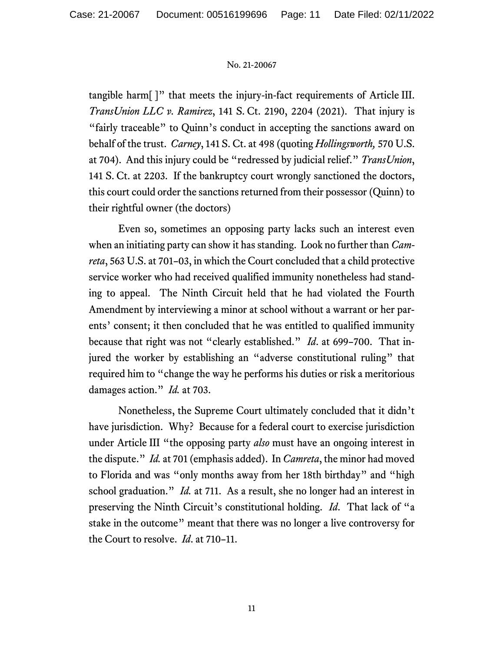tangible harm[ ]" that meets the injury-in-fact requirements of Article III. *TransUnion LLC v. Ramirez*, 141 S. Ct. 2190, 2204 (2021). That injury is "fairly traceable" to Quinn's conduct in accepting the sanctions award on behalf of the trust. *Carney*, 141 S. Ct. at 498 (quoting *Hollingsworth,* 570 U.S. at 704). And this injury could be "redressed by judicial relief." *TransUnion*, 141 S. Ct. at 2203. If the bankruptcy court wrongly sanctioned the doctors, this court could order the sanctions returned from their possessor (Quinn) to their rightful owner (the doctors)

Even so, sometimes an opposing party lacks such an interest even when an initiating party can show it has standing. Look no further than *Camreta*, 563 U.S. at 701–03, in which the Court concluded that a child protective service worker who had received qualified immunity nonetheless had standing to appeal. The Ninth Circuit held that he had violated the Fourth Amendment by interviewing a minor at school without a warrant or her parents' consent; it then concluded that he was entitled to qualified immunity because that right was not "clearly established." *Id*. at 699–700. That injured the worker by establishing an "adverse constitutional ruling" that required him to "change the way he performs his duties or risk a meritorious damages action." *Id.* at 703.

Nonetheless, the Supreme Court ultimately concluded that it didn't have jurisdiction. Why? Because for a federal court to exercise jurisdiction under Article III "the opposing party *also* must have an ongoing interest in the dispute." *Id.* at 701 (emphasis added). In *Camreta*, the minor had moved to Florida and was "only months away from her 18th birthday" and "high school graduation." *Id.* at 711. As a result, she no longer had an interest in preserving the Ninth Circuit's constitutional holding. *Id*. That lack of "a stake in the outcome" meant that there was no longer a live controversy for the Court to resolve. *Id*. at 710–11.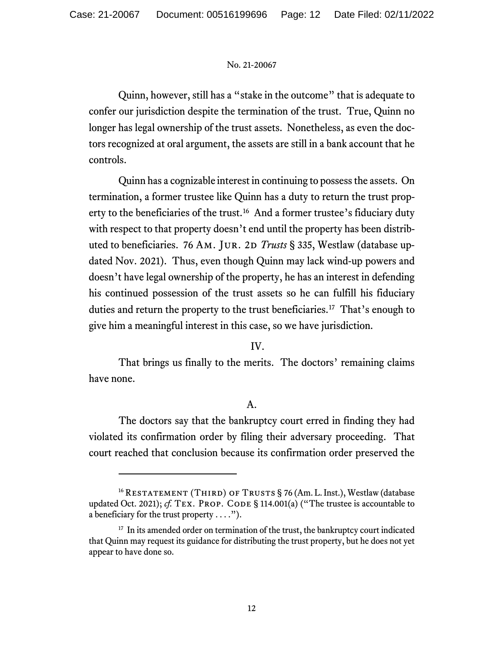Quinn, however, still has a "stake in the outcome" that is adequate to confer our jurisdiction despite the termination of the trust. True, Quinn no longer has legal ownership of the trust assets. Nonetheless, as even the doctors recognized at oral argument, the assets are still in a bank account that he controls.

Quinn has a cognizable interest in continuing to possess the assets. On termination, a former trustee like Quinn has a duty to return the trust prop-erty to the beneficiaries of the trust.<sup>[16](#page-11-0)</sup> And a former trustee's fiduciary duty with respect to that property doesn't end until the property has been distributed to beneficiaries. 76 AM. JUR. 2D *Trusts* § 335, Westlaw (database updated Nov. 2021). Thus, even though Quinn may lack wind-up powers and doesn't have legal ownership of the property, he has an interest in defending his continued possession of the trust assets so he can fulfill his fiduciary duties and return the property to the trust beneficiaries.[17](#page-11-1) That's enough to give him a meaningful interest in this case, so we have jurisdiction.

# IV.

That brings us finally to the merits. The doctors' remaining claims have none.

# A.

The doctors say that the bankruptcy court erred in finding they had violated its confirmation order by filing their adversary proceeding. That court reached that conclusion because its confirmation order preserved the

<span id="page-11-0"></span><sup>&</sup>lt;sup>16</sup> RESTATEMENT (THIRD) OF TRUSTS § 76 (Am. L. Inst.), Westlaw (database updated Oct. 2021); *cf.* TEX. PROP. CODE § 114.001(a) ("The trustee is accountable to a beneficiary for the trust property  $\dots$ .").

<span id="page-11-1"></span><sup>&</sup>lt;sup>17</sup> In its amended order on termination of the trust, the bankruptcy court indicated that Quinn may request its guidance for distributing the trust property, but he does not yet appear to have done so.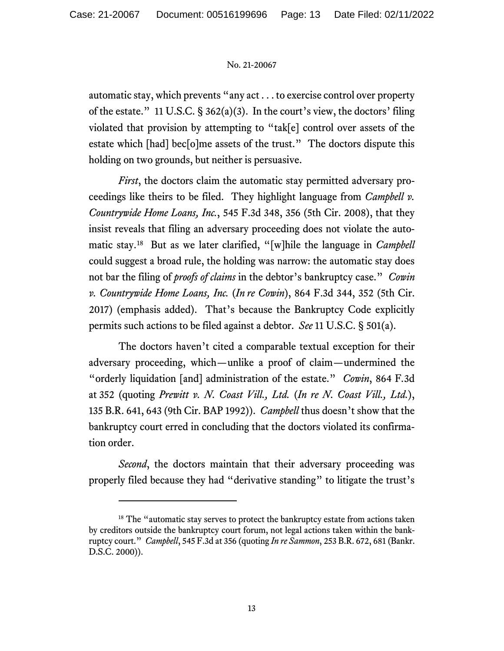automatic stay, which prevents "any act . . . to exercise control over property of the estate." 11 U.S.C. § 362(a)(3). In the court's view, the doctors' filing violated that provision by attempting to "tak[e] control over assets of the estate which [had] bec[o]me assets of the trust." The doctors dispute this holding on two grounds, but neither is persuasive.

*First*, the doctors claim the automatic stay permitted adversary proceedings like theirs to be filed. They highlight language from *Campbell v. Countrywide Home Loans, Inc.*, 545 F.3d 348, 356 (5th Cir. 2008), that they insist reveals that filing an adversary proceeding does not violate the automatic stay.[18](#page-12-0) But as we later clarified, "[w]hile the language in *Campbell* could suggest a broad rule, the holding was narrow: the automatic stay does not bar the filing of *proofs of claims* in the debtor's bankruptcy case." *Cowin v. Countrywide Home Loans, Inc.* (*In re Cowin*), 864 F.3d 344, 352 (5th Cir. 2017) (emphasis added). That's because the Bankruptcy Code explicitly permits such actions to be filed against a debtor. *See* 11 U.S.C. § 501(a).

The doctors haven't cited a comparable textual exception for their adversary proceeding, which—unlike a proof of claim—undermined the "orderly liquidation [and] administration of the estate." *Cowin*, 864 F*.*3d at 352 (quoting *Prewitt v. N. Coast Vill., Ltd.* (*In re N. Coast Vill., Ltd.*), 135 B.R. 641, 643 (9th Cir. BAP 1992)). *Campbell* thus doesn't show that the bankruptcy court erred in concluding that the doctors violated its confirmation order.

*Second*, the doctors maintain that their adversary proceeding was properly filed because they had "derivative standing" to litigate the trust's

<span id="page-12-0"></span><sup>&</sup>lt;sup>18</sup> The "automatic stay serves to protect the bankruptcy estate from actions taken by creditors outside the bankruptcy court forum, not legal actions taken within the bankruptcy court." *Campbell*, 545 F.3d at 356 (quoting *In re Sammon*, 253 B.R. 672, 681 (Bankr. D.S.C. 2000)).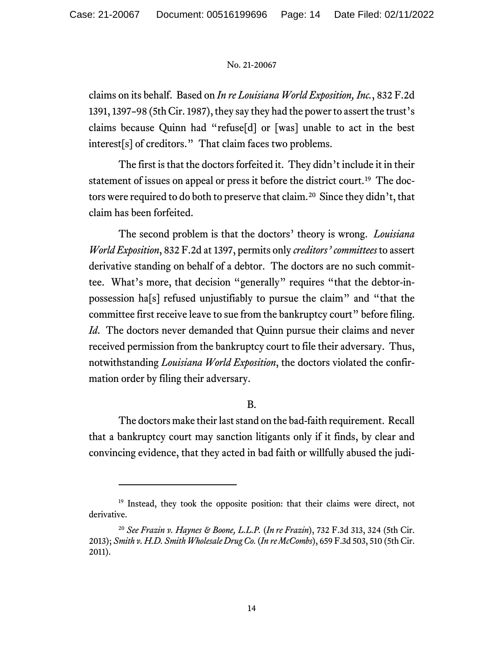claims on its behalf. Based on *In re Louisiana World Exposition, Inc.*, 832 F.2d 1391, 1397–98 (5thCir. 1987), they say they had the power to assert the trust's claims because Quinn had "refuse[d] or [was] unable to act in the best interest[s] of creditors." That claim faces two problems.

The first is that the doctors forfeited it. They didn't include it in their statement of issues on appeal or press it before the district court.<sup>[19](#page-13-0)</sup> The doc-tors were required to do both to preserve that claim.<sup>[20](#page-13-1)</sup> Since they didn't, that claim has been forfeited.

The second problem is that the doctors' theory is wrong. *Louisiana World Exposition*, 832 F.2d at 1397, permits only *creditors' committees* to assert derivative standing on behalf of a debtor. The doctors are no such committee. What's more, that decision "generally" requires "that the debtor-inpossession ha[s] refused unjustifiably to pursue the claim" and "that the committee first receive leave to sue from the bankruptcy court" before filing. *Id*. The doctors never demanded that Quinn pursue their claims and never received permission from the bankruptcy court to file their adversary. Thus, notwithstanding *Louisiana World Exposition*, the doctors violated the confirmation order by filing their adversary.

# B.

The doctors make their last stand on the bad-faith requirement. Recall that a bankruptcy court may sanction litigants only if it finds, by clear and convincing evidence, that they acted in bad faith or willfully abused the judi-

<span id="page-13-0"></span><sup>&</sup>lt;sup>19</sup> Instead, they took the opposite position: that their claims were direct, not derivative.

<span id="page-13-1"></span><sup>20</sup> *See Frazin v. Haynes & Boone, L.L.P.* (*In re Frazin*), 732 F.3d 313, 324 (5th Cir. 2013); *Smith v. H.D. Smith Wholesale Drug Co.* (*In re McCombs*), 659 F.3d 503, 510 (5th Cir. 2011).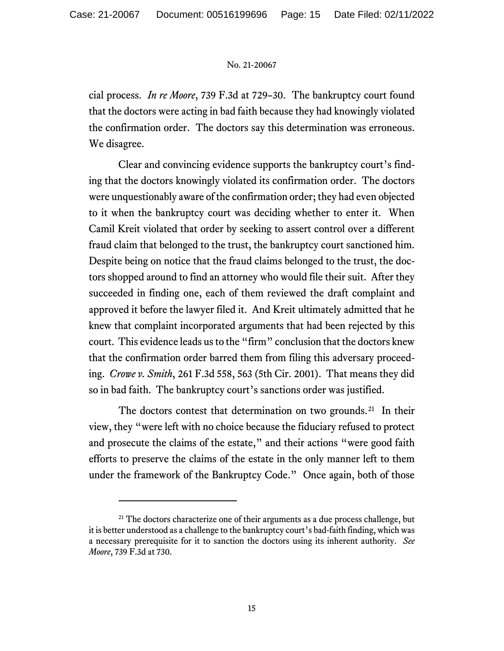cial process. *In re Moore*, 739 F.3d at 729–30. The bankruptcy court found that the doctors were acting in bad faith because they had knowingly violated the confirmation order. The doctors say this determination was erroneous. We disagree.

Clear and convincing evidence supports the bankruptcy court's finding that the doctors knowingly violated its confirmation order. The doctors were unquestionably aware of the confirmation order; they had even objected to it when the bankruptcy court was deciding whether to enter it. When Camil Kreit violated that order by seeking to assert control over a different fraud claim that belonged to the trust, the bankruptcy court sanctioned him. Despite being on notice that the fraud claims belonged to the trust, the doctors shopped around to find an attorney who would file their suit. After they succeeded in finding one, each of them reviewed the draft complaint and approved it before the lawyer filed it. And Kreit ultimately admitted that he knew that complaint incorporated arguments that had been rejected by this court. This evidence leads us to the "firm" conclusion that the doctors knew that the confirmation order barred them from filing this adversary proceeding. *Crowe v. Smith*, 261 F.3d 558, 563 (5th Cir. 2001). That means they did so in bad faith. The bankruptcy court's sanctions order was justified.

The doctors contest that determination on two grounds.<sup>[21](#page-14-0)</sup> In their view, they "were left with no choice because the fiduciary refused to protect and prosecute the claims of the estate," and their actions "were good faith efforts to preserve the claims of the estate in the only manner left to them under the framework of the Bankruptcy Code." Once again, both of those

<span id="page-14-0"></span> $21$  The doctors characterize one of their arguments as a due process challenge, but it is better understood as a challenge to the bankruptcy court's bad-faith finding, which was a necessary prerequisite for it to sanction the doctors using its inherent authority. *See Moore*, 739 F.3d at 730.